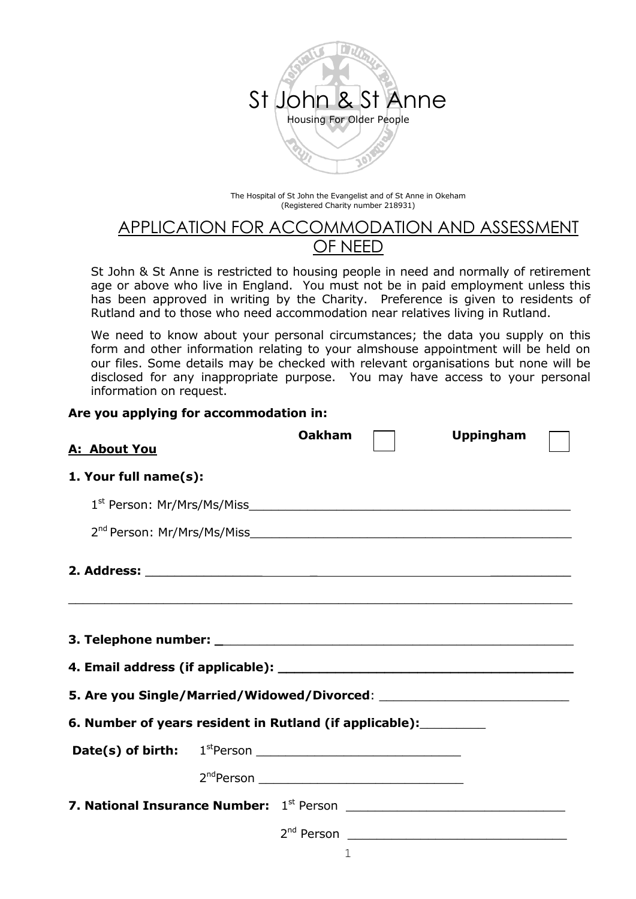

The Hospital of St John the Evangelist and of St Anne in Okeham (Registered Charity number 218931)

# APPLICATION FOR ACCOMMODATION AND ASSESSMENT OF NEED

St John & St Anne is restricted to housing people in need and normally of retirement age or above who live in England. You must not be in paid employment unless this has been approved in writing by the Charity. Preference is given to residents of Rutland and to those who need accommodation near relatives living in Rutland.

We need to know about your personal circumstances; the data you supply on this form and other information relating to your almshouse appointment will be held on our files. Some details may be checked with relevant organisations but none will be disclosed for any inappropriate purpose. You may have access to your personal information on request.

#### **Are you applying for accommodation in:**

| A: About You                                                      | <b>Oakham</b> | <b>Uppingham</b> |
|-------------------------------------------------------------------|---------------|------------------|
| 1. Your full name(s):                                             |               |                  |
|                                                                   |               |                  |
|                                                                   |               |                  |
|                                                                   |               |                  |
|                                                                   |               |                  |
|                                                                   |               |                  |
|                                                                   |               |                  |
| 6. Number of years resident in Rutland (if applicable): _________ |               |                  |
|                                                                   |               |                  |
|                                                                   |               |                  |
|                                                                   |               |                  |
|                                                                   |               |                  |
|                                                                   | 1             |                  |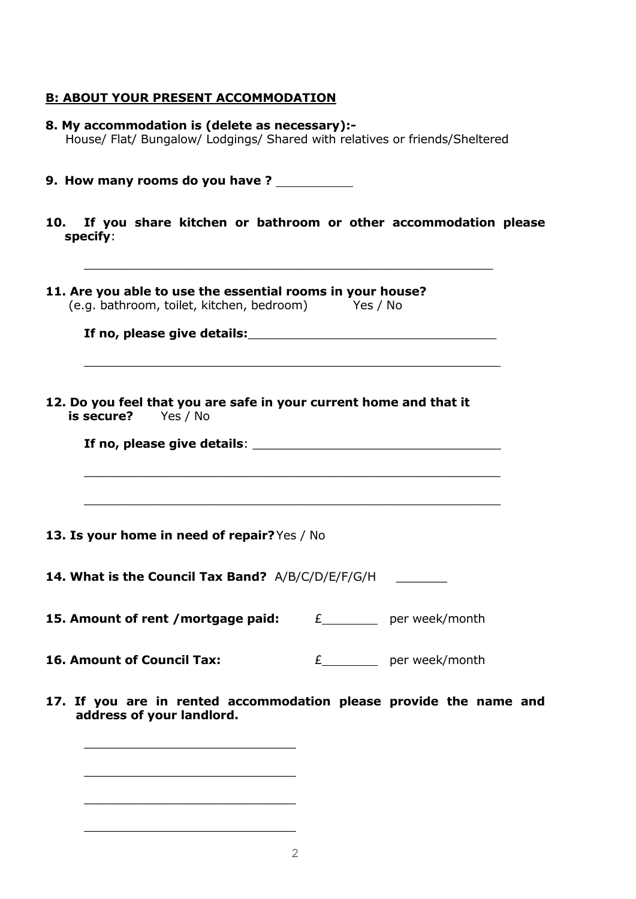# **B: ABOUT YOUR PRESENT ACCOMMODATION**

| 8. My accommodation is (delete as necessary):-<br>House/ Flat/ Bungalow/ Lodgings/ Shared with relatives or friends/Sheltered                                                                                                                                                                                                                          |                            |  |
|--------------------------------------------------------------------------------------------------------------------------------------------------------------------------------------------------------------------------------------------------------------------------------------------------------------------------------------------------------|----------------------------|--|
| 9. How many rooms do you have ?                                                                                                                                                                                                                                                                                                                        |                            |  |
| 10. If you share kitchen or bathroom or other accommodation please<br>specify:                                                                                                                                                                                                                                                                         |                            |  |
| 11. Are you able to use the essential rooms in your house?<br>(e.g. bathroom, toilet, kitchen, bedroom) Yes / No                                                                                                                                                                                                                                       |                            |  |
| 12. Do you feel that you are safe in your current home and that it<br><b>is secure?</b> Yes / No<br>If no, please give details: which is a set of the set of the set of the set of the set of the set of the set o<br><u> 1989 - Johann John Stone, Amerikaansk politiker (d. 1989)</u><br><u> 1989 - Johann Stoff, amerikansk politiker (d. 1989)</u> |                            |  |
| 13. Is your home in need of repair? Yes / No                                                                                                                                                                                                                                                                                                           |                            |  |
| <b>14. What is the Council Tax Band?</b> A/B/C/D/E/F/G/H                                                                                                                                                                                                                                                                                               |                            |  |
| 15. Amount of rent / mortgage paid:                                                                                                                                                                                                                                                                                                                    | £__________ per week/month |  |
| 16. Amount of Council Tax:                                                                                                                                                                                                                                                                                                                             | £__________ per week/month |  |
| 17. If you are in rented accommodation please provide the name and<br>address of your landlord.                                                                                                                                                                                                                                                        |                            |  |

\_\_\_\_\_\_\_\_\_\_\_\_\_\_\_\_\_\_\_\_\_\_\_\_\_\_\_\_\_

\_\_\_\_\_\_\_\_\_\_\_\_\_\_\_\_\_\_\_\_\_\_\_\_\_\_\_\_\_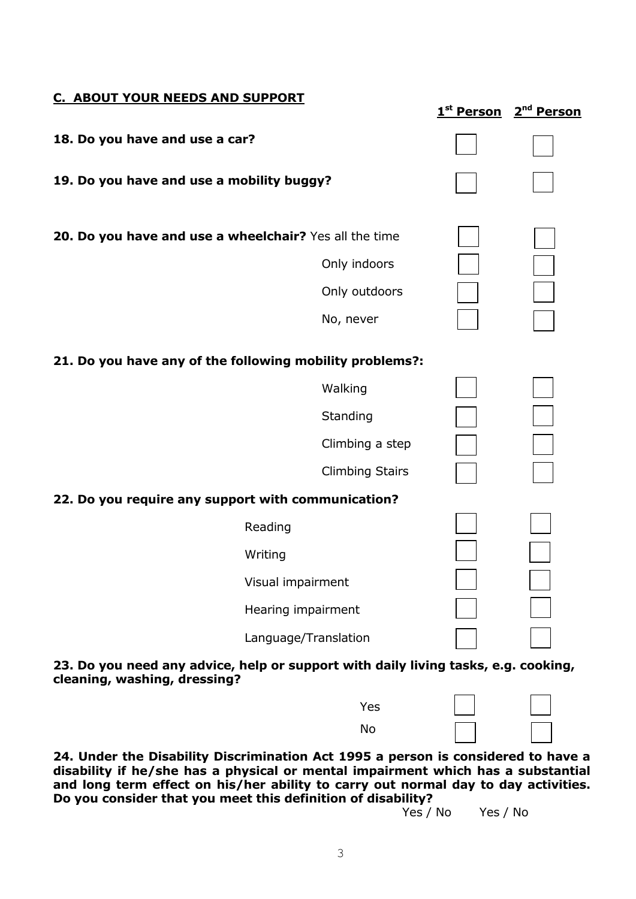| C. ABOUT YOUR NEEDS AND SUPPORT                          | 1 <sup>st</sup> Person | 2 <sup>nd</sup> Person |
|----------------------------------------------------------|------------------------|------------------------|
| 18. Do you have and use a car?                           |                        |                        |
| 19. Do you have and use a mobility buggy?                |                        |                        |
| 20. Do you have and use a wheelchair? Yes all the time   |                        |                        |
| Only indoors                                             |                        |                        |
| Only outdoors                                            |                        |                        |
| No, never                                                |                        |                        |
| 21. Do you have any of the following mobility problems?: |                        |                        |
| Walking                                                  |                        |                        |
| Standing                                                 |                        |                        |
| Climbing a step                                          |                        |                        |
| <b>Climbing Stairs</b>                                   |                        |                        |
| 22. Do you require any support with communication?       |                        |                        |
| Reading                                                  |                        |                        |
| Writing                                                  |                        |                        |
| Visual impairment                                        |                        |                        |
| Hearing impairment                                       |                        |                        |
| Language/Translation                                     |                        |                        |

### **23. Do you need any advice, help or support with daily living tasks, e.g. cooking, cleaning, washing, dressing?**

| Yes |  |
|-----|--|
| No  |  |

**24. Under the Disability Discrimination Act 1995 a person is considered to have a disability if he/she has a physical or mental impairment which has a substantial and long term effect on his/her ability to carry out normal day to day activities. Do you consider that you meet this definition of disability?**

Yes / No Yes / No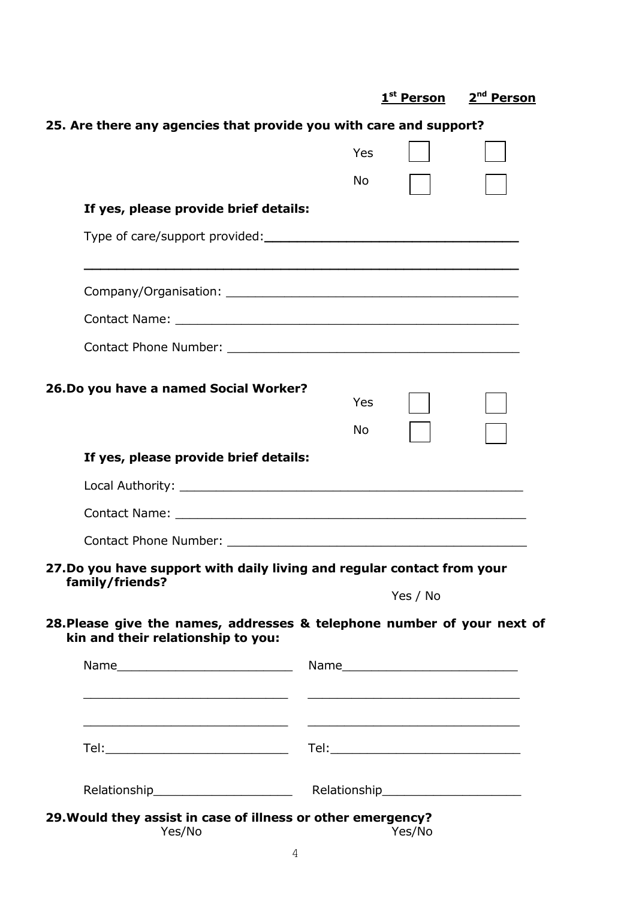**25. Are there any agencies that provide you with care and support?** Yes No **If yes, please provide brief details:** Type of care/support provided:**\_\_\_\_\_\_\_\_\_\_\_\_\_\_\_\_\_\_\_\_\_\_\_\_\_\_\_\_\_\_\_ \_\_\_\_\_\_\_\_\_\_\_\_\_\_\_\_\_\_\_\_\_\_\_\_\_\_\_\_\_\_\_\_\_\_\_\_\_\_\_\_\_\_\_\_\_\_\_\_\_\_\_\_\_** Company/Organisation: \_\_\_\_\_\_\_\_\_\_\_\_\_\_\_\_\_\_\_\_\_\_\_\_\_\_\_\_\_\_\_\_\_\_\_\_\_\_\_\_ Contact Name: **Example 2018** Contact Phone Number: \_\_\_\_\_\_\_\_\_\_\_\_\_\_\_\_\_\_\_\_\_\_\_\_\_\_\_\_\_\_\_\_\_\_\_\_\_\_\_\_ **26.Do you have a named Social Worker?** Yes No **If yes, please provide brief details:** Local Authority: **Local Authority: Local Authority:** Contact Name:  $\blacksquare$ Contact Phone Number: **27.Do you have support with daily living and regular contact from your family/friends?** Yes / No **28.Please give the names, addresses & telephone number of your next of kin and their relationship to you:** Name **Name Name Name Name Name Name Name Name Name Name Name Name Name Name Name Name Name Name Name Name Name Name Name Name Name Name Name Name Name Name Name** \_\_\_\_\_\_\_\_\_\_\_\_\_\_\_\_\_\_\_\_\_\_\_\_\_\_\_\_ \_\_\_\_\_\_\_\_\_\_\_\_\_\_\_\_\_\_\_\_\_\_\_\_\_\_\_\_\_ \_\_\_\_\_\_\_\_\_\_\_\_\_\_\_\_\_\_\_\_\_\_\_\_\_\_\_\_ \_\_\_\_\_\_\_\_\_\_\_\_\_\_\_\_\_\_\_\_\_\_\_\_\_\_\_\_\_ Tel: $\blacksquare$ Relationship example are relationship relationship **29.Would they assist in case of illness or other emergency?** 

**1 st Person 2**

**nd Person**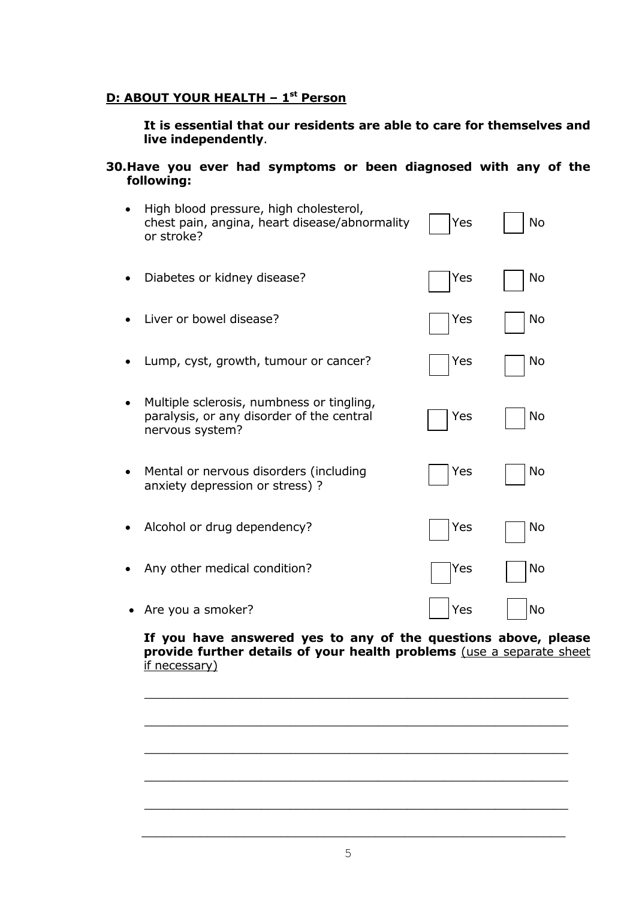# **D: ABOUT YOUR HEALTH – 1 st Person**

### **It is essential that our residents are able to care for themselves and live independently**.

#### **30.Have you ever had symptoms or been diagnosed with any of the following:**

| High blood pressure, high cholesterol,<br>chest pain, angina, heart disease/abnormality<br>or stroke?     | Yes | <b>No</b> |
|-----------------------------------------------------------------------------------------------------------|-----|-----------|
| Diabetes or kidney disease?                                                                               | Yes | No        |
| Liver or bowel disease?                                                                                   | Yes | No        |
| Lump, cyst, growth, tumour or cancer?                                                                     | Yes | No        |
| Multiple sclerosis, numbness or tingling,<br>paralysis, or any disorder of the central<br>nervous system? | Yes | No        |
| Mental or nervous disorders (including<br>anxiety depression or stress) ?                                 | Yes | No        |
| Alcohol or drug dependency?                                                                               | Yes | No        |
| Any other medical condition?                                                                              | Yes | No        |
| Are you a smoker?                                                                                         | Yes | No        |

### **If you have answered yes to any of the questions above, please provide further details of your health problems** (use a separate sheet if necessary)

\_\_\_\_\_\_\_\_\_\_\_\_\_\_\_\_\_\_\_\_\_\_\_\_\_\_\_\_\_\_\_\_\_\_\_\_\_\_\_\_\_\_\_\_\_\_\_\_\_\_\_\_\_\_\_\_\_\_

\_\_\_\_\_\_\_\_\_\_\_\_\_\_\_\_\_\_\_\_\_\_\_\_\_\_\_\_\_\_\_\_\_\_\_\_\_\_\_\_\_\_\_\_\_\_\_\_\_\_\_\_\_\_\_\_\_\_

\_\_\_\_\_\_\_\_\_\_\_\_\_\_\_\_\_\_\_\_\_\_\_\_\_\_\_\_\_\_\_\_\_\_\_\_\_\_\_\_\_\_\_\_\_\_\_\_\_\_\_\_\_\_\_\_\_\_

\_\_\_\_\_\_\_\_\_\_\_\_\_\_\_\_\_\_\_\_\_\_\_\_\_\_\_\_\_\_\_\_\_\_\_\_\_\_\_\_\_\_\_\_\_\_\_\_\_\_\_\_\_\_\_\_\_\_

 $\_$ 

 $\mathcal{L}_\mathcal{L}$  , and the contribution of the contribution of the contribution of the contribution of the contribution of the contribution of the contribution of the contribution of the contribution of the contribution of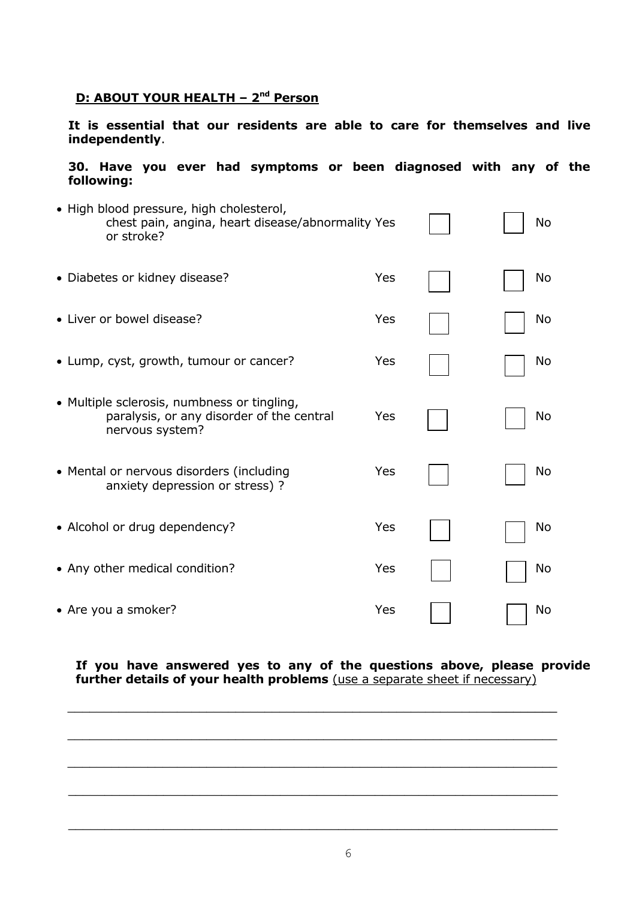### **D: ABOUT YOUR HEALTH – 2 nd Person**

**It is essential that our residents are able to care for themselves and live independently**.

#### **30. Have you ever had symptoms or been diagnosed with any of the following:**

| • High blood pressure, high cholesterol,<br>chest pain, angina, heart disease/abnormality Yes<br>or stroke? |     | No |
|-------------------------------------------------------------------------------------------------------------|-----|----|
| • Diabetes or kidney disease?                                                                               | Yes | No |
| • Liver or bowel disease?                                                                                   | Yes | No |
| • Lump, cyst, growth, tumour or cancer?                                                                     | Yes | No |
| • Multiple sclerosis, numbness or tingling,<br>paralysis, or any disorder of the central<br>nervous system? | Yes | No |
| • Mental or nervous disorders (including<br>anxiety depression or stress) ?                                 | Yes | No |
| • Alcohol or drug dependency?                                                                               | Yes | No |
| • Any other medical condition?                                                                              | Yes | No |
| • Are you a smoker?                                                                                         | Yes | No |

**If you have answered yes to any of the questions above, please provide further details of your health problems** (use a separate sheet if necessary)

 $\_$  , and the set of the set of the set of the set of the set of the set of the set of the set of the set of the set of the set of the set of the set of the set of the set of the set of the set of the set of the set of th

 $\_$  , and the set of the set of the set of the set of the set of the set of the set of the set of the set of the set of the set of the set of the set of the set of the set of the set of the set of the set of the set of th

 $\_$  , and the set of the set of the set of the set of the set of the set of the set of the set of the set of the set of the set of the set of the set of the set of the set of the set of the set of the set of the set of th

\_\_\_\_\_\_\_\_\_\_\_\_\_\_\_\_\_\_\_\_\_\_\_\_\_\_\_\_\_\_\_\_\_\_\_\_\_\_\_\_\_\_\_\_\_\_\_\_\_\_\_\_\_\_\_\_\_\_\_\_\_\_\_\_\_\_\_

 $\mathcal{L}_\mathcal{L}$  , and the contribution of the contribution of the contribution of the contribution of the contribution of the contribution of the contribution of the contribution of the contribution of the contribution of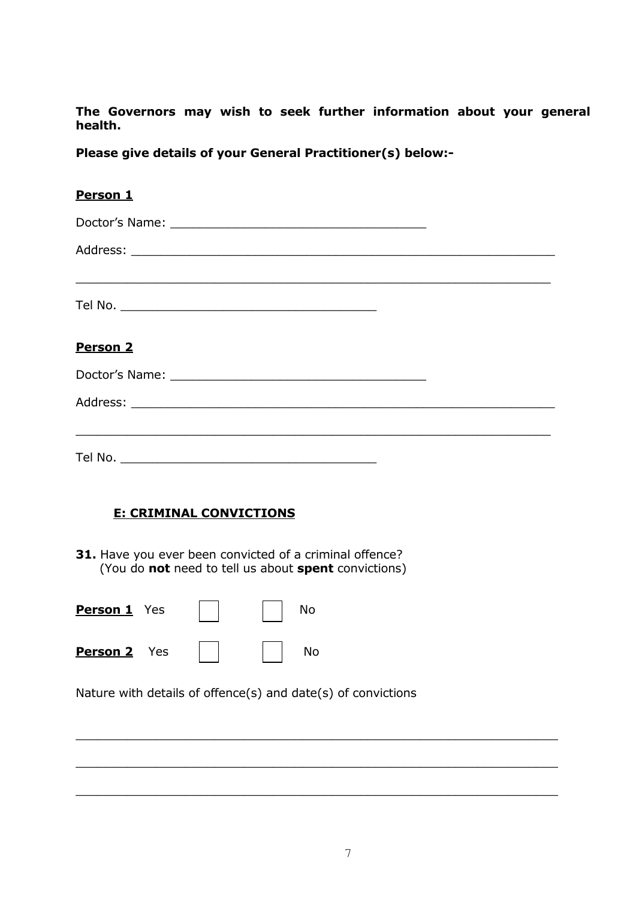**The Governors may wish to seek further information about your general health.**

**Please give details of your General Practitioner(s) below:-**

| Person 1        |
|-----------------|
|                 |
|                 |
|                 |
|                 |
| <b>Person 2</b> |
|                 |
|                 |
|                 |
|                 |

# **E: CRIMINAL CONVICTIONS**

**31.** Have you ever been convicted of a criminal offence? (You do **not** need to tell us about **spent** convictions)

| <b>Person 1</b> Yes |  | No |
|---------------------|--|----|
| <b>Person 2</b> Yes |  | No |

Nature with details of offence(s) and date(s) of convictions

 $\mathcal{L}_\mathcal{L}$  , and the contribution of the contribution of the contribution of the contribution of the contribution of the contribution of the contribution of the contribution of the contribution of the contribution of

 $\mathcal{L}_\mathcal{L}$  , and the contribution of the contribution of the contribution of the contribution of the contribution of the contribution of the contribution of the contribution of the contribution of the contribution of

\_\_\_\_\_\_\_\_\_\_\_\_\_\_\_\_\_\_\_\_\_\_\_\_\_\_\_\_\_\_\_\_\_\_\_\_\_\_\_\_\_\_\_\_\_\_\_\_\_\_\_\_\_\_\_\_\_\_\_\_\_\_\_\_\_\_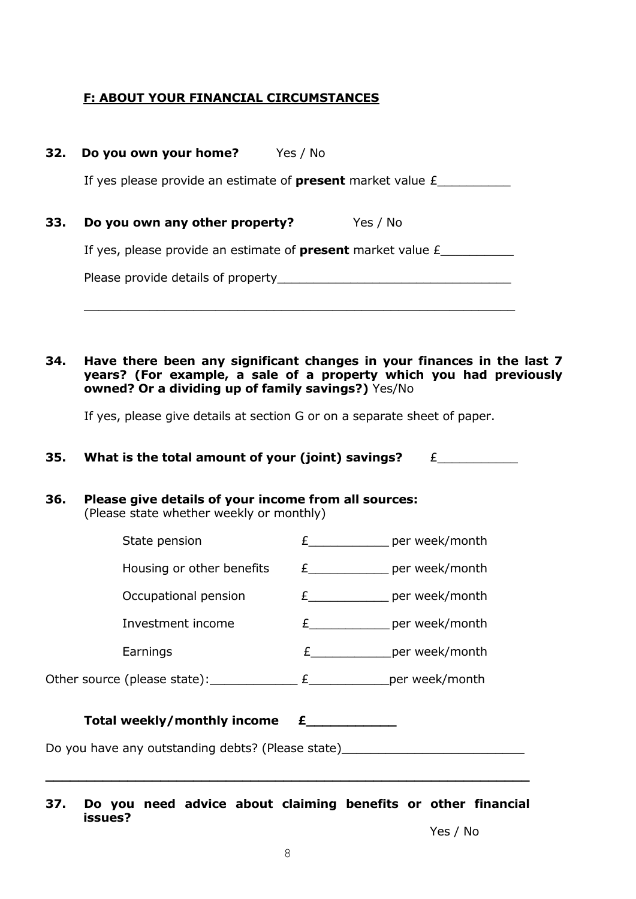# **F: ABOUT YOUR FINANCIAL CIRCUMSTANCES**

|                           | Yes / No                                                                                                                                                                                                                          |
|---------------------------|-----------------------------------------------------------------------------------------------------------------------------------------------------------------------------------------------------------------------------------|
|                           |                                                                                                                                                                                                                                   |
|                           |                                                                                                                                                                                                                                   |
| 32. Do you own your home? | Yes / No<br>If yes please provide an estimate of <b>present</b> market value $E$<br>Do you own any other property?<br>If yes, please provide an estimate of <b>present</b> market value $E$<br>Please provide details of property |

**34. Have there been any significant changes in your finances in the last 7 years? (For example, a sale of a property which you had previously owned? Or a dividing up of family savings?)** Yes/No

\_\_\_\_\_\_\_\_\_\_\_\_\_\_\_\_\_\_\_\_\_\_\_\_\_\_\_\_\_\_\_\_\_\_\_\_\_\_\_\_\_\_\_\_\_\_\_\_\_\_\_\_\_\_\_\_\_\_\_

If yes, please give details at section G or on a separate sheet of paper.

**35. What is the total amount of your (joint) savings?** £\_\_\_\_\_\_\_\_\_\_\_

| 36.                                               | Please give details of your income from all sources:<br>(Please state whether weekly or monthly) |                                      |                                 |  |
|---------------------------------------------------|--------------------------------------------------------------------------------------------------|--------------------------------------|---------------------------------|--|
|                                                   | State pension                                                                                    |                                      | $E$ per week/month              |  |
|                                                   | Housing or other benefits                                                                        |                                      | E_______________ per week/month |  |
|                                                   | Occupational pension                                                                             |                                      | $E$ per week/month              |  |
|                                                   | Investment income                                                                                |                                      | $E$ per week/month              |  |
|                                                   | Earnings                                                                                         |                                      | $E$ per week/month              |  |
|                                                   | Other source (please state): $f(x) = f(x)$ per week/month                                        |                                      |                                 |  |
|                                                   | Total weekly/monthly income                                                                      | $\epsilon$ and the set of $\epsilon$ |                                 |  |
| Do you have any outstanding debts? (Please state) |                                                                                                  |                                      |                                 |  |
|                                                   |                                                                                                  |                                      |                                 |  |

**37. Do you need advice about claiming benefits or other financial issues?**

Yes / No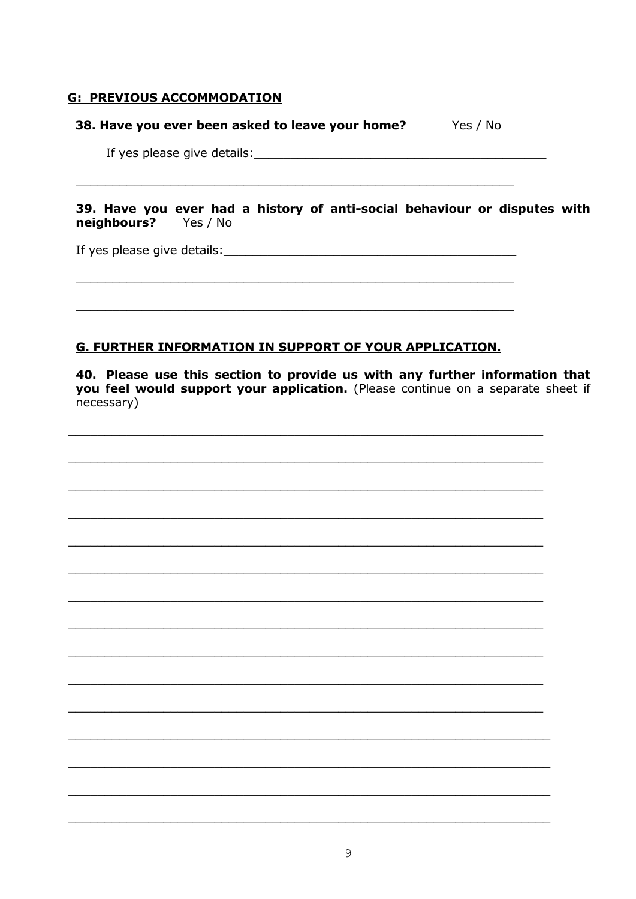# **G: PREVIOUS ACCOMMODATION**

### 38. Have you ever been asked to leave your home? Yes / No

39. Have you ever had a history of anti-social behaviour or disputes with neighbours? Yes / No

If yes please give details:

### **G. FURTHER INFORMATION IN SUPPORT OF YOUR APPLICATION.**

40. Please use this section to provide us with any further information that you feel would support your application. (Please continue on a separate sheet if necessary)

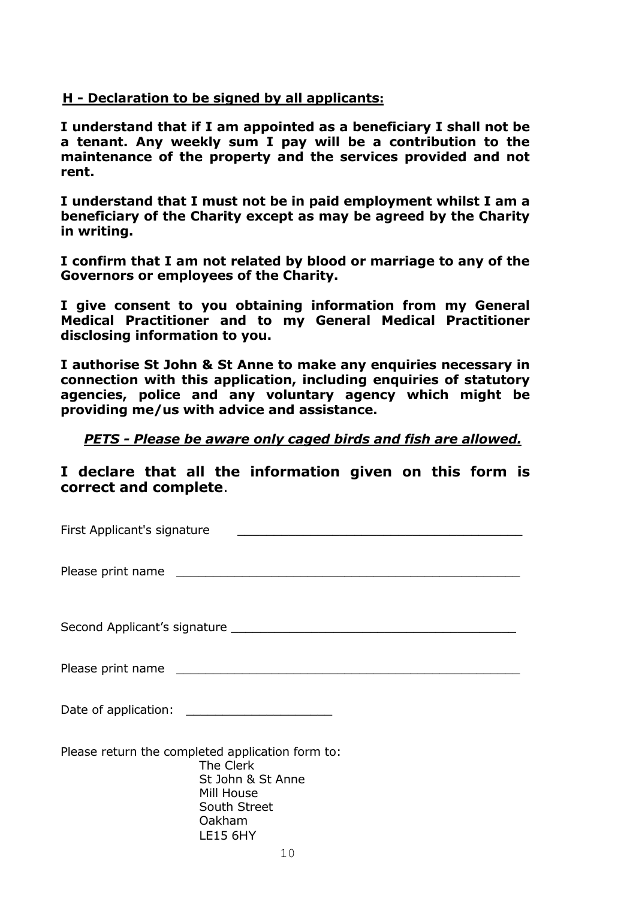# **H - Declaration to be signed by all applicants:**

**I understand that if I am appointed as a beneficiary I shall not be a tenant. Any weekly sum I pay will be a contribution to the maintenance of the property and the services provided and not rent.**

**I understand that I must not be in paid employment whilst I am a beneficiary of the Charity except as may be agreed by the Charity in writing.**

**I confirm that I am not related by blood or marriage to any of the Governors or employees of the Charity.**

**I give consent to you obtaining information from my General Medical Practitioner and to my General Medical Practitioner disclosing information to you.**

**I authorise St John & St Anne to make any enquiries necessary in connection with this application, including enquiries of statutory agencies, police and any voluntary agency which might be providing me/us with advice and assistance.**

### *PETS - Please be aware only caged birds and fish are allowed.*

**I declare that all the information given on this form is correct and complete**.

| First Applicant's signature                      |
|--------------------------------------------------|
|                                                  |
|                                                  |
|                                                  |
|                                                  |
|                                                  |
|                                                  |
|                                                  |
|                                                  |
|                                                  |
|                                                  |
| Please return the completed application form to: |
| The Clerk<br>St John & St Anne                   |
| Mill House                                       |
| South Street                                     |
| Oakham<br><b>LE15 6HY</b>                        |
| 10                                               |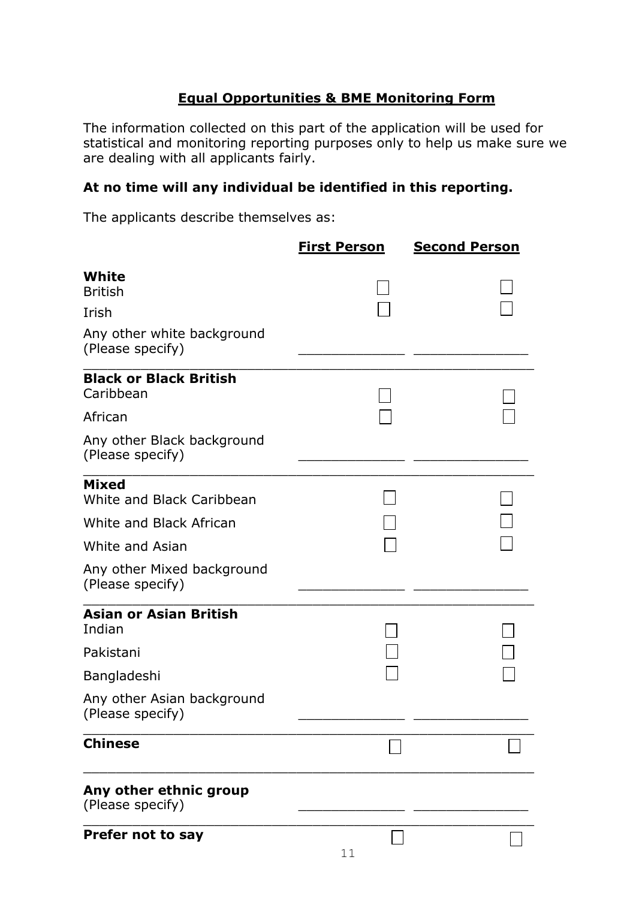# **Equal Opportunities & BME Monitoring Form**

The information collected on this part of the application will be used for statistical and monitoring reporting purposes only to help us make sure we are dealing with all applicants fairly.

# **At no time will any individual be identified in this reporting.**

The applicants describe themselves as:

|                                                | <b>First Person</b> | <b>Second Person</b> |
|------------------------------------------------|---------------------|----------------------|
| White<br><b>British</b>                        |                     |                      |
| Irish                                          |                     |                      |
| Any other white background<br>(Please specify) |                     |                      |
| <b>Black or Black British</b><br>Caribbean     |                     |                      |
| African                                        |                     |                      |
| Any other Black background<br>(Please specify) |                     |                      |
| <b>Mixed</b><br>White and Black Caribbean      |                     |                      |
| White and Black African                        |                     |                      |
| White and Asian                                |                     |                      |
| Any other Mixed background<br>(Please specify) |                     |                      |
| <b>Asian or Asian British</b><br>Indian        |                     |                      |
| Pakistani                                      |                     |                      |
| Bangladeshi                                    |                     |                      |
| Any other Asian background<br>(Please specify) |                     |                      |
| <b>Chinese</b>                                 |                     |                      |
| Any other ethnic group<br>(Please specify)     |                     |                      |
| Prefer not to say                              |                     |                      |